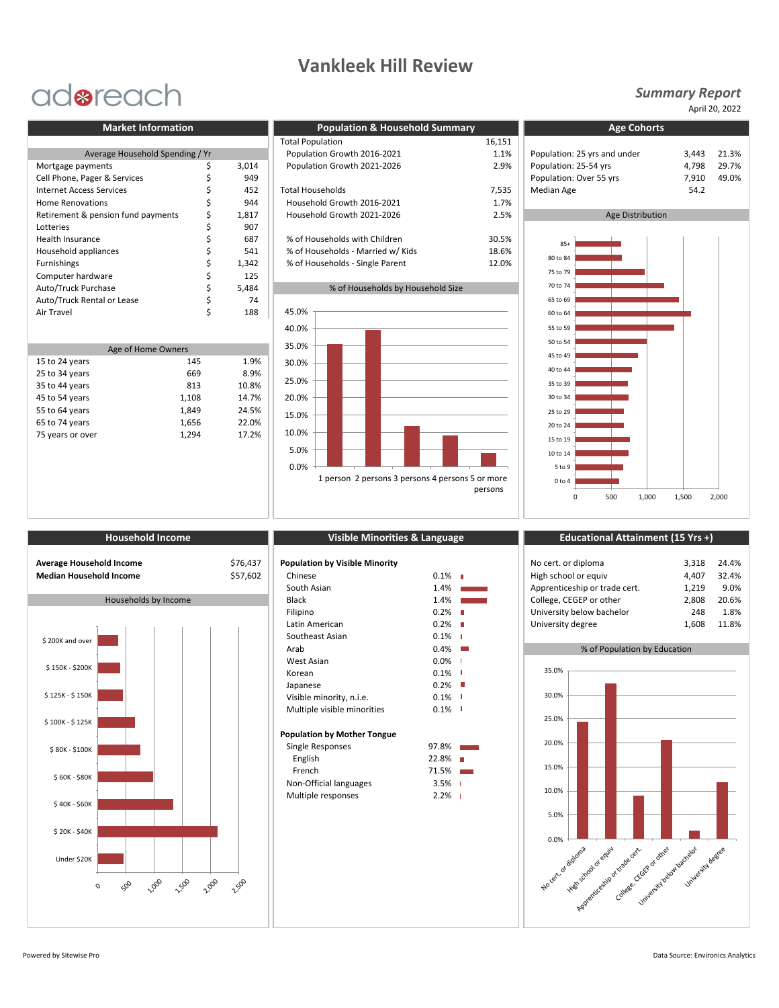## **Vankleek Hill Review**

# adoreach

| Population: 25 yrs and under<br>Population: 25-54 yrs | 3,443             |  |
|-------------------------------------------------------|-------------------|--|
|                                                       |                   |  |
|                                                       | 4,798             |  |
| Population: Over 55 yrs                               | 7,910             |  |
| <b>Median Age</b>                                     | 54.2              |  |
|                                                       |                   |  |
| 2.5%<br>Age Distribution                              |                   |  |
|                                                       |                   |  |
|                                                       |                   |  |
|                                                       |                   |  |
|                                                       |                   |  |
| 75 to 79                                              |                   |  |
| 70 to 74                                              |                   |  |
| 65 to 69                                              |                   |  |
| 60 to 64                                              |                   |  |
|                                                       | $85+$<br>80 to 84 |  |

| Age of Home Owners |       |       |  |  |  |  |
|--------------------|-------|-------|--|--|--|--|
| 15 to 24 years     | 145   | 1.9%  |  |  |  |  |
| 25 to 34 years     | 669   | 8.9%  |  |  |  |  |
| 35 to 44 years     | 813   | 10.8% |  |  |  |  |
| 45 to 54 years     | 1,108 | 14.7% |  |  |  |  |
| 55 to 64 years     | 1,849 | 24.5% |  |  |  |  |
| 65 to 74 years     | 1,656 | 22.0% |  |  |  |  |
| 75 years or over   | 1,294 | 17.2% |  |  |  |  |
|                    |       |       |  |  |  |  |

| <b>Market Information</b>          |  | <b>Population &amp; Household Summary</b> | <b>Age Cohorts</b>                |                              |                         |       |  |
|------------------------------------|--|-------------------------------------------|-----------------------------------|------------------------------|-------------------------|-------|--|
|                                    |  |                                           | <b>Total Population</b>           | 16,151                       |                         |       |  |
| Average Household Spending / Yr    |  | Population Growth 2016-2021               | 1.1%                              | Population: 25 yrs and under | 3.443                   |       |  |
| Mortgage payments                  |  | 3,014                                     | Population Growth 2021-2026       | 2.9%                         | Population: 25-54 yrs   | 4.798 |  |
| Cell Phone, Pager & Services       |  | 949                                       |                                   |                              | Population: Over 55 yrs | 7,910 |  |
| <b>Internet Access Services</b>    |  | 452                                       | <b>Total Households</b>           | 7,535                        | <b>Median Age</b>       | 54.2  |  |
| <b>Home Renovations</b>            |  | 944                                       | Household Growth 2016-2021        | 1.7%                         |                         |       |  |
| Retirement & pension fund payments |  | 1,817                                     | Household Growth 2021-2026        | 2.5%                         | Age Distribution        |       |  |
| Lotteries                          |  | 907                                       |                                   |                              |                         |       |  |
| <b>Health Insurance</b>            |  | 687                                       | % of Households with Children     | 30.5%                        | $85+$                   |       |  |
| Household appliances               |  | 541                                       | % of Households - Married w/ Kids | 18.6%                        |                         |       |  |
| <b>Furnishings</b>                 |  | 1,342                                     | % of Households - Single Parent   | 12.0%                        | 80 to 84                |       |  |
| Computer hardware                  |  | 125                                       |                                   |                              | 75 to 79                |       |  |





### *Summary Report*

April 20, 2022



|                                                                   |  |  | <b>HOUSEHORE INCOME</b> |  |              |
|-------------------------------------------------------------------|--|--|-------------------------|--|--------------|
| <b>Average Household Income</b><br><b>Median Household Income</b> |  |  |                         |  | \$76<br>\$57 |
|                                                                   |  |  | Households by Income    |  |              |
|                                                                   |  |  |                         |  |              |
| \$200K and over                                                   |  |  |                         |  |              |
| \$150K - \$200K                                                   |  |  |                         |  |              |
| \$125K - \$150K                                                   |  |  |                         |  |              |
| \$100K - \$125K                                                   |  |  |                         |  |              |
| \$80K - \$100K                                                    |  |  |                         |  |              |
| \$60K - \$80K                                                     |  |  |                         |  |              |

**1,000** 

 $\mathcal{C}_{\lambda}$ 

**1,500** 

2,00

2,500

| <b>Population by Visible Minority</b> |                        |                        |
|---------------------------------------|------------------------|------------------------|
| Chinese                               | 0.1%                   |                        |
| South Asian                           | 1.4%                   |                        |
| <b>Black</b>                          | 1.4%                   |                        |
| Filipino                              | 0.2%                   | Π                      |
| Latin American                        | $0.2\%$ $\blacksquare$ |                        |
| Southeast Asian                       | $0.1\%$                |                        |
| Arab                                  | $0.4\%$                |                        |
| West Asian                            | 0.0%                   | ı                      |
| Korean                                | $0.1\%$ I              |                        |
| Japanese                              | $0.2\%$                |                        |
| Visible minority, n.i.e.              | $0.1\%$                |                        |
| Multiple visible minorities           | $0.1\%$                | ı                      |
| <b>Population by Mother Tongue</b>    |                        |                        |
| Single Responses                      | 97.8%                  | <b>Service Service</b> |
| English                               | 22.8%                  |                        |
| French                                | $71.5\%$               |                        |
| Non-Official languages                | $3.5%$ 1               |                        |
| Multiple responses                    | 2.2%                   | ı                      |

### **If the Minorities & Language Educational Attainment** (15 Yrs +)

| Average Household Income<br>Median Household Income | \$76,437<br>\$57,602 | <b>Population by Visible Minority</b><br>Chinese<br>South Asian | $0.1\%$  <br>1.4%      | No cert. or diploma<br>High school or equiv<br>Apprenticeship or trade cert. | 3.318<br>4.407<br>L.219 | 24.4%<br>32.4%<br>9.0% |
|-----------------------------------------------------|----------------------|-----------------------------------------------------------------|------------------------|------------------------------------------------------------------------------|-------------------------|------------------------|
| Households by Income                                |                      | Black                                                           | 1.4%                   | College, CEGEP or other                                                      | 2.808                   | 20.6%                  |
|                                                     |                      | Filipino                                                        | $0.2\%$ $\blacksquare$ | University below bachelor                                                    | 248                     | 1.8%                   |
|                                                     |                      | Latin American                                                  | $0.2\%$ $\Box$         | University degree                                                            | .608ء                   | 11.8%                  |

% of Population by Education

## No cert. of diploma High school of equival according to the cert. Silver clay de clay of other University below backlob University degree 0.0% 5.0% 10.0% 15.0% 20.0% 25.0% 30.0% 35.0%

Under \$20K

 $\circ$ 

\$ 20K - \$40K

\$ 40K - \$60K